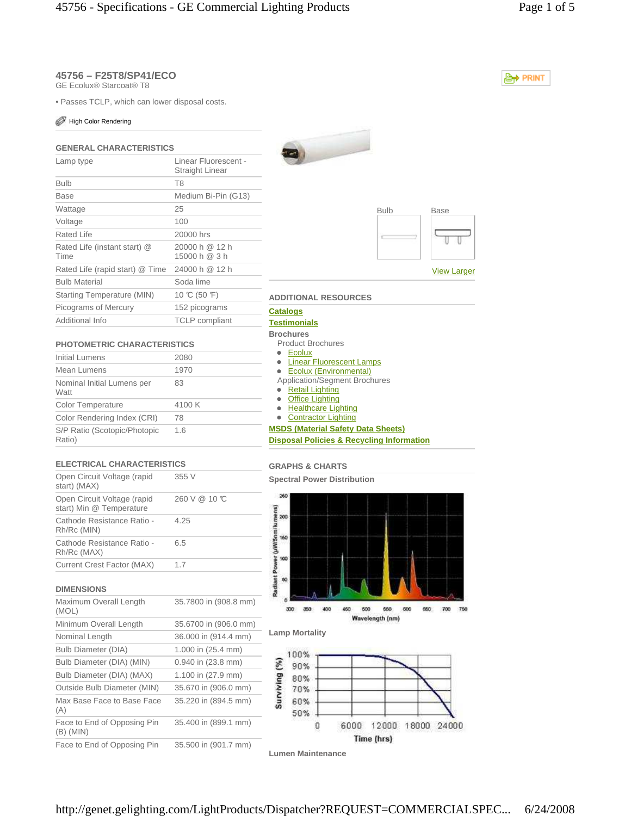# **45756 – F25T8/SP41/ECO**

GE Ecolux® Starcoat® T8

• Passes TCLP, which can lower disposal costs.

### High Color Rendering

## **GENERAL CHARACTERISTICS**

| Lamp type                            | Linear Fluorescent -<br>Straight Linear |
|--------------------------------------|-----------------------------------------|
| <b>Bulb</b>                          | T <sub>8</sub>                          |
| Base                                 | Medium Bi-Pin (G13)                     |
| Wattage                              | 25                                      |
| Voltage                              | 100                                     |
| Rated Life                           | 20000 hrs                               |
| Rated Life (instant start) @<br>Time | 20000 h @ 12 h<br>15000 h @ 3 h         |
| Rated Life (rapid start) @ Time      | 24000 h @ 12 h                          |
| <b>Bulb Material</b>                 | Soda lime                               |
| Starting Temperature (MIN)           | 10 °C (50 °F)                           |
| Picograms of Mercury                 | 152 picograms                           |
| Additional Info                      | <b>TCLP</b> compliant                   |

## **PHOTOMETRIC CHARACTERISTICS**

| Initial Lumens                         | 2080   |
|----------------------------------------|--------|
| Mean Lumens                            | 1970   |
| Nominal Initial Lumens per<br>Watt     | 83     |
| <b>Color Temperature</b>               | 4100 K |
| Color Rendering Index (CRI)            | 78     |
| S/P Ratio (Scotopic/Photopic<br>Ratio) | 1.6    |
|                                        |        |

## **ELECTRICAL CHARACTERISTICS**

| Open Circuit Voltage (rapid<br>start) (MAX)             | 355 V        |
|---------------------------------------------------------|--------------|
| Open Circuit Voltage (rapid<br>start) Min @ Temperature | 260 V @ 10 C |
| Cathode Resistance Ratio -<br>Rh/Rc (MIN)               | 4.25         |
| Cathode Resistance Ratio -<br>Rh/Rc (MAX)               | 6.5          |
| Current Crest Factor (MAX)                              | 1.7          |
|                                                         |              |

## **DIMENSIONS**

| Maximum Overall Length<br>(MOL)          | 35.7800 in (908.8 mm) |
|------------------------------------------|-----------------------|
| Minimum Overall Length                   | 35.6700 in (906.0 mm) |
| Nominal Length                           | 36.000 in (914.4 mm)  |
| <b>Bulb Diameter (DIA)</b>               | 1.000 in (25.4 mm)    |
| Bulb Diameter (DIA) (MIN)                | 0.940 in (23.8 mm)    |
| Bulb Diameter (DIA) (MAX)                | 1.100 in (27.9 mm)    |
| Outside Bulb Diameter (MIN)              | 35.670 in (906.0 mm)  |
| Max Base Face to Base Face<br>(A)        | 35.220 in (894.5 mm)  |
| Face to End of Opposing Pin<br>(B) (MIN) | 35.400 in (899.1 mm)  |
| Face to End of Opposing Pin              | 35.500 in (901.7 mm)  |





### **ADDITIONAL RESOURCES**

#### **Catalogs**

#### **Testimonials**

- **Brochures**  Product Brochures
	-
	- Ecolux
- **C**inear Fluorescent Lamps
- Ecolux (Environmental) Application/Segment Brochures
- Retail Lighting
- Office Lighting
- Healthcare Lighting
- Contractor Lighting

### **MSDS (Material Safety Data Sheets) Disposal Policies & Recycling Information**

### **GRAPHS & CHARTS**

**Spectral Power Distribution** 





#### **Lamp Mortality**



**Lumen Maintenance** 

**E**<sup>+</sup> PRINT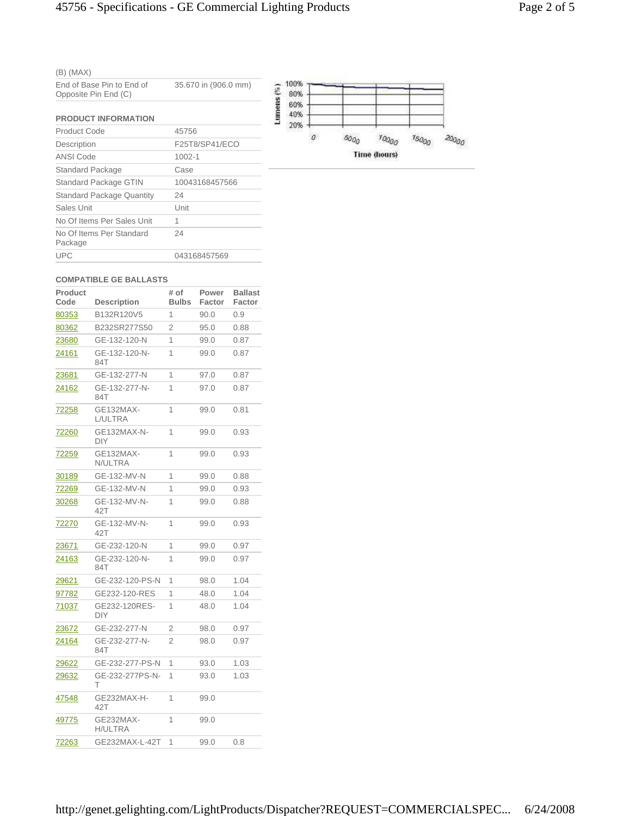|--|--|--|

| End of Base Pin to End of | 35.670 in (906.0 mm) |
|---------------------------|----------------------|
| Opposite Pin End (C)      |                      |

| <b>PRODUCT INFORMATION</b>          |                |
|-------------------------------------|----------------|
| Product Code                        | 45756          |
| Description                         | F25T8/SP41/ECO |
| ANSI Code                           | $1002 - 1$     |
| <b>Standard Package</b>             | Case           |
| <b>Standard Package GTIN</b>        | 10043168457566 |
| <b>Standard Package Quantity</b>    | 24             |
| Sales Unit                          | Unit           |
| No Of Items Per Sales Unit          | 1              |
| No Of Items Per Standard<br>Package | 24             |
| <b>UPC</b>                          | 043168457569   |



#### **COMPATIBLE GE BALLASTS**

| <b>Product</b><br>Code | <b>Description</b>          | # of<br><b>Bulbs</b> | Power<br>Factor | <b>Ballast</b><br>Factor |
|------------------------|-----------------------------|----------------------|-----------------|--------------------------|
| 80353                  | B132R120V5                  | 1                    | 90.0            | 0.9                      |
| 80362                  | B232SR277S50                | $\overline{2}$       | 95.0            | 0.88                     |
| 23680                  | GE-132-120-N                | 1                    | 99.0            | 0.87                     |
| 24161                  | GE-132-120-N-<br>84T        | 1                    | 99.0            | 0.87                     |
| 23681                  | GE-132-277-N                | 1                    | 97.0            | 0.87                     |
| 24162                  | GE-132-277-N-<br>84T        | 1                    | 97.0            | 0.87                     |
| 72258                  | GE132MAX-<br>L/ULTRA        | 1                    | 99.0            | 0.81                     |
| 72260                  | GE132MAX-N-<br>DIY          | 1                    | 99.0            | 0.93                     |
| <u>72259</u>           | GE132MAX-<br>N/ULTRA        | 1                    | 99.0            | 0.93                     |
| 30189                  | GE-132-MV-N                 | 1                    | 99.0            | 0.88                     |
| 72269                  | GE-132-MV-N                 | 1                    | 99.0            | 0.93                     |
| 30268                  | GE-132-MV-N-<br>42T         | 1                    | 99.0            | 0.88                     |
| 72270                  | GE-132-MV-N-<br>42T         | 1                    | 99.0            | 0.93                     |
| 23671                  | GE-232-120-N                | 1                    | 99.0            | 0.97                     |
| 24163                  | GE-232-120-N-<br>84T        | 1                    | 99.0            | 0.97                     |
| 29621                  | GE-232-120-PS-N             | 1                    | 98.0            | 1.04                     |
| 97782                  | GE232-120-RES               | 1                    | 48.0            | 1.04                     |
| 71037                  | GE232-120RES-<br>DIY        | 1                    | 48.0            | 1.04                     |
| 23672                  | GE-232-277-N                | $\overline{2}$       | 98.0            | 0.97                     |
| 24164                  | GE-232-277-N-<br>84T        | $\overline{2}$       | 98.0            | 0.97                     |
| <u> 29622</u>          | GE-232-277-PS-N             | 1                    | 93.0            | 1.03                     |
| 29632                  | GE-232-277PS-N-<br>т        | 1                    | 93.0            | 1.03                     |
| 47548                  | GE232MAX-H-<br>42T          | 1                    | 99.0            |                          |
| <u>49775</u>           | GE232MAX-<br><b>H/ULTRA</b> | 1                    | 99.0            |                          |
| 72263                  | GE232MAX-L-42T              | 1                    | 99.0            | 0.8                      |
|                        |                             |                      |                 |                          |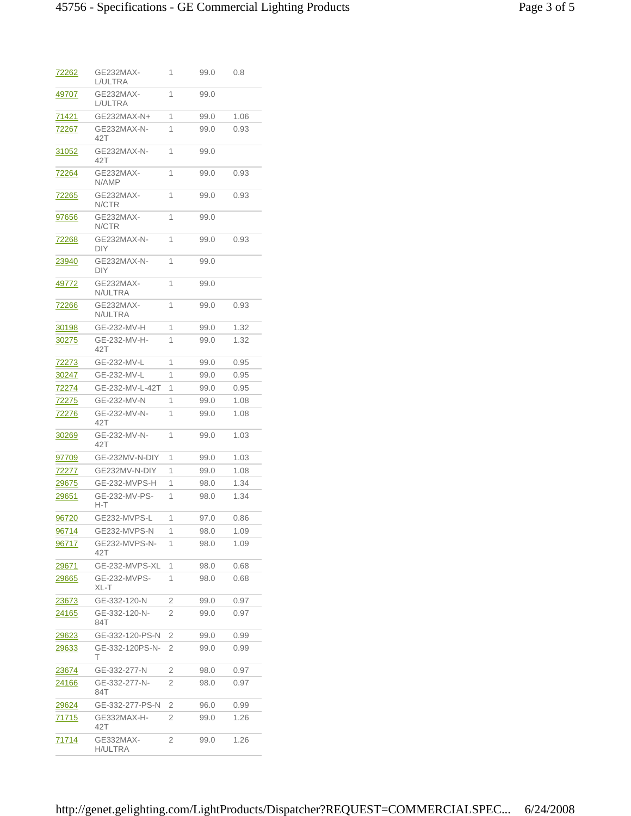| 72262         | GE232MAX-<br>L/ULTRA      | 1 | 99.0 | 0.8  |
|---------------|---------------------------|---|------|------|
| 49707         | GE232MAX-<br>L/ULTRA      | 1 | 99.0 |      |
| 71421         | GE232MAX-N+               | 1 | 99.0 | 1.06 |
| 72267         | GE232MAX-N-<br>42T        | 1 | 99.0 | 0.93 |
| <u>31052</u>  | GE232MAX-N-<br>42T        | 1 | 99.0 |      |
| 72264         | GE232MAX-<br>N/AMP        | 1 | 99.0 | 0.93 |
| <u>72265</u>  | <b>GE232MAX-</b><br>N/CTR | 1 | 99.0 | 0.93 |
| 97656         | GE232MAX-<br>N/CTR        | 1 | 99.0 |      |
| 72268         | GE232MAX-N-<br>DIY        | 1 | 99.0 | 0.93 |
| <u> 23940</u> | GE232MAX-N-<br><b>DIY</b> | 1 | 99.0 |      |
| 49772         | GE232MAX-<br>N/ULTRA      | 1 | 99.0 |      |
| 72266         | GE232MAX-<br>N/ULTRA      | 1 | 99.0 | 0.93 |
| 30198         | GE-232-MV-H               | 1 | 99.0 | 1.32 |
| 30275         | GE-232-MV-H-<br>42T       | 1 | 99.0 | 1.32 |
| 72273         | GE-232-MV-L               | 1 | 99.0 | 0.95 |
| 30247         | GE-232-MV-L               | 1 | 99.0 | 0.95 |
| 72274         | GE-232-MV-L-42T           | 1 | 99.0 | 0.95 |
| 72275         | GE-232-MV-N               | 1 | 99.0 | 1.08 |
| 72276         | GE-232-MV-N-<br>42T       | 1 | 99.0 | 1.08 |
| 30269         | GE-232-MV-N-<br>42T       | 1 | 99.0 | 1.03 |
| 97709         | GE-232MV-N-DIY            | 1 | 99.0 | 1.03 |
| 72277         | GE232MV-N-DIY             | 1 | 99.0 | 1.08 |
| 29675         | GE-232-MVPS-H             | 1 | 98.0 | 1.34 |
| 29651         | GE-232-MV-PS-<br>H-T      | 1 | 98.0 | 1.34 |
| 96720         | GE232-MVPS-L              | 1 | 97.0 | 0.86 |
| 96714         | GE232-MVPS-N              | 1 | 98.0 | 1.09 |
| 96717         | GE232-MVPS-N-<br>42T      | 1 | 98.0 | 1.09 |
| <u> 29671</u> | GE-232-MVPS-XL            | 1 | 98.0 | 0.68 |
| <u> 29665</u> | GE-232-MVPS-<br>XL-T      | 1 | 98.0 | 0.68 |
| 23673         | GE-332-120-N              | 2 | 99.0 | 0.97 |
| <u> 24165</u> | GE-332-120-N-<br>84T      | 2 | 99.0 | 0.97 |
| <u> 29623</u> | GE-332-120-PS-N           | 2 | 99.0 | 0.99 |
| 29633         | GE-332-120PS-N-<br>т      | 2 | 99.0 | 0.99 |
| 23674         | GE-332-277-N              | 2 | 98.0 | 0.97 |
| 24166         | GE-332-277-N-<br>84T      | 2 | 98.0 | 0.97 |
| <u> 29624</u> | GE-332-277-PS-N           | 2 | 96.0 | 0.99 |
| 71715         | GE332MAX-H-<br>42T        | 2 | 99.0 | 1.26 |
| 71714         | GE332MAX-<br>H/ULTRA      | 2 | 99.0 | 1.26 |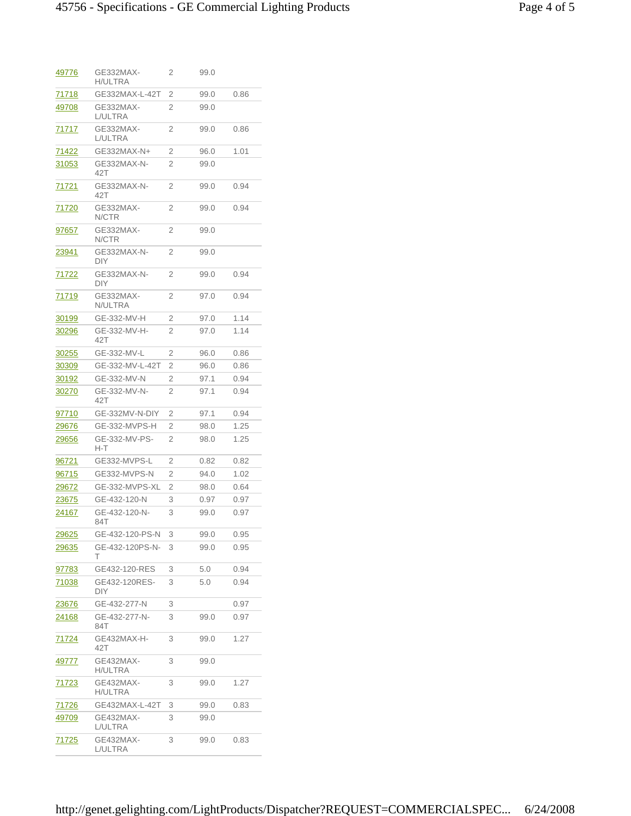| <u>49776</u>  | GE332MAX-<br>H/ULTRA | 2              | 99.0 |      |
|---------------|----------------------|----------------|------|------|
| <u>71718</u>  | GE332MAX-L-42T       | 2              | 99.0 | 0.86 |
| 49708         | GE332MAX-<br>L/ULTRA | 2              | 99.0 |      |
| 71717         | GE332MAX-<br>L/ULTRA | 2              | 99.0 | 0.86 |
| <u>71422</u>  | GE332MAX-N+          | 2              | 96.0 | 1.01 |
| 31053         | GE332MAX-N-<br>42T   | 2              | 99.0 |      |
| <u>71721</u>  | GE332MAX-N-<br>42T   | 2              | 99.0 | 0.94 |
| <u>71720</u>  | GE332MAX-<br>N/CTR   | 2              | 99.0 | 0.94 |
| <u>97657</u>  | GE332MAX-<br>N/CTR   | 2              | 99.0 |      |
| <u>23941</u>  | GE332MAX-N-<br>DIY   | 2              | 99.0 |      |
| 71722         | GE332MAX-N-<br>DIY   | 2              | 99.0 | 0.94 |
| 71719         | GE332MAX-<br>N/ULTRA | 2              | 97.0 | 0.94 |
| 30199         | GE-332-MV-H          | 2              | 97.0 | 1.14 |
| 30296         | GE-332-MV-H-<br>42T  | 2              | 97.0 | 1.14 |
| 30255         | GE-332-MV-L          | 2              | 96.0 | 0.86 |
| 30309         | GE-332-MV-L-42T      | 2              | 96.0 | 0.86 |
| 30192         | GE-332-MV-N          | 2              | 97.1 | 0.94 |
| 30270         | GE-332-MV-N-<br>42T  | 2              | 97.1 | 0.94 |
| <u>97710</u>  | GE-332MV-N-DIY       | 2              | 97.1 | 0.94 |
| <u> 29676</u> | GE-332-MVPS-H        | $\overline{2}$ | 98.0 | 1.25 |
| 29656         | GE-332-MV-PS-<br>H-T | 2              | 98.0 | 1.25 |
| 96721         | GE332-MVPS-L         | 2              | 0.82 | 0.82 |
| 96715         | GE332-MVPS-N         | 2              | 94.0 | 1.02 |
| 29672         | GE-332-MVPS-XL       | 2              | 98.0 | 0.64 |
| 23675         | GE-432-120-N         | 3              | 0.97 | 0.97 |
| 24167         | GE-432-120-N-<br>84T | 3              | 99.0 | 0.97 |
| <u> 29625</u> | GE-432-120-PS-N      | 3              | 99.0 | 0.95 |
| <u> 29635</u> | GE-432-120PS-N-<br>т | 3              | 99.0 | 0.95 |
| 97783         | GE432-120-RES        | 3              | 5.0  | 0.94 |
| <u>71038</u>  | GE432-120RES-<br>DIY | 3              | 5.0  | 0.94 |
| 23676         | GE-432-277-N         | 3              |      | 0.97 |
| 24168         | GE-432-277-N-<br>84T | 3              | 99.0 | 0.97 |
| 71724         | GE432MAX-H-<br>42T   | 3              | 99.0 | 1.27 |
| 49777         | GE432MAX-<br>H/ULTRA | 3              | 99.0 |      |
| <u>71723</u>  | GE432MAX-<br>H/ULTRA | 3              | 99.0 | 1.27 |
| <u>71726</u>  | GE432MAX-L-42T       | 3              | 99.0 | 0.83 |
| <u>49709</u>  | GE432MAX-<br>L/ULTRA | 3              | 99.0 |      |
| 71725         | GE432MAX-<br>L/ULTRA | 3              | 99.0 | 0.83 |